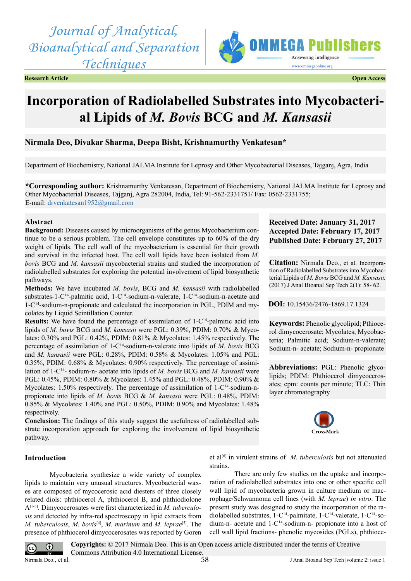*Journal of Analytical, Bioanalytical and Separation Techniques*





# **Incorporation of Radiolabelled Substrates into Mycobacterial Lipids of** *M. Bovis* **BCG and** *M. Kansasii*

# **Nirmala Deo, Divakar Sharma, Deepa Bisht, Krishnamurthy Venkatesan\***

Department of Biochemistry, National JALMA Institute for Leprosy and Other Mycobacterial Diseases, Tajganj, Agra, India

**\*Corresponding author:** Krishnamurthy Venkatesan, Department of Biochemistry, National JALMA Institute for Leprosy and Other Mycobacterial Diseases, Tajganj, Agra 282004, India, Tel: 91-562-2331751/ Fax: 0562-2331755; E-mail: [drvenkatesan1952@gmail.com](mailto:drvenkatesan1952@gmail.com)

#### **Abstract**

**Background:** Diseases caused by microorganisms of the genus Mycobacterium continue to be a serious problem. The cell envelope constitutes up to 60% of the dry weight of lipids. The cell wall of the mycobacterium is essential for their growth and survival in the infected host. The cell wall lipids have been isolated from *M. bovis* BCG and *M. kansasii* mycobacterial strains and studied the incorporation of radiolabelled substrates for exploring the potential involvement of lipid biosynthetic pathways.

**Methods:** We have incubated *M. bovis*, BCG and *M. kansasii* with radiolabelled substrates-1-C14-palmitic acid, 1-C14-sodium-n-valerate, 1-C14-sodium-n-acetate and 1-C14-sodium-n-propionate and calculated the incorporation in PGL, PDIM and mycolates by Liquid Scintillation Counter.

**Results:** We have found the percentage of assimilation of 1-C<sup>14</sup>-palmitic acid into lipids of *M. bovis* BCG and *M. kansasii* were PGL: 0.39%, PDIM: 0.70% & Mycolates: 0.30% and PGL: 0.42%, PDIM: 0.81% & Mycolates: 1.45% respectively. The percentage of assimilation of 1-C14-sodium-n-valerate into lipids of *M. bovis* BCG and *M. kansasii* were PGL: 0.28%, PDIM: 0.58% & Mycolates: 1.05% and PGL: 0.35%, PDIM: 0.68% & Mycolates: 0.90% respectively. The percentage of assimilation of 1-C14- sodium-n- acetate into lipids of *M. bovis* BCG and *M. kansasii* were PGL: 0.45%, PDIM: 0.80% & Mycolates: 1.45% and PGL: 0.48%, PDIM: 0.90% & Mycolates: 1.50% respectively. The percentage of assimilation of 1-C<sup>14</sup>-sodium-npropionate into lipids of *M. bovis* BCG & *M. kansasii* were PGL: 0.48%, PDIM: 0.85% & Mycolates: 1.40% and PGL: 0.50%, PDIM: 0.90% and Mycolates: 1.48% respectively.

**Conclusion:** The findings of this study suggest the usefulness of radiolabelled substrate incorporation approach for exploring the involvement of lipid biosynthetic pathway.

## **Introduction**

Mycobacteria synthesize a wide variety of complex lipids to maintain very unusual structures. Mycobacterial waxes are composed of mycocerosic acid diesters of three closely related diols: phthiocerol A, phthiocerol B, and phthiodiolone [A\[1-3\]](#page-3-0). Dimycocerosates were first characterized in *M. tuberculosis* and detected by infra-red spectroscopy in lipid extracts from *M. tuberculosis*, *M. bovis*[\[4\],](#page-3-1) *M. marinum* and *M. leprae*[\[5\]](#page-3-2). The presence of phthiocerol dimycocerosates was reported by Goren et al<sup>[6]</sup> in virulent strains of *M. tuberculosis* but not attenuated strains.

There are only few studies on the uptake and incorporation of radiolabelled substrates into one or other specific cell wall lipid of mycobacteria grown in culture medium or macrophage/Schwannoma cell lines (with *M. leprae*) *in vitro*. The present study was designed to study the incorporation of the radiolabelled substrates, 1-C<sup>14</sup>-palmitate, 1-C<sup>14</sup>-valerate, 1-C<sup>14</sup>-sodium-n- acetate and 1-C14-sodium-n- propionate into a host of cell wall lipid fractions- phenolic mycosides (PGLs), phthioce-

**Copyrights:** © 2017 Nirmala Deo. This is an Open access article distributed under the terms of Creative  $\odot$  $\left(\mathrm{cc}\right)$ Commons Attribution 4.0 International License. Nirmala Deo., et al.  $\frac{1}{2}$  I Anal Bioanal Sep Tech |volume 2: issue 1 58

**Received Date: January 31, 2017 Accepted Date: February 17, 2017 Published Date: February 27, 2017**

**Citation:** Nirmala Deo., et al. Incorporation of Radiolabelled Substrates into Mycobacterial Lipids of *M. Bovis* BCG and *M. Kansasii.*  (2017) J Anal Bioanal Sep Tech 2(1): 58- 62.

**DOI:** [10.15436/2476-1869.17.](http://www.dx.doi.org/10.15436/2476-1869-17-1324)1324

**Keywords:** Phenolic glycolipid; Pthiocerol dimycocerosate; Mycolates; Mycobacteria; Palmitic acid; Sodium-n-valerate; Sodium-n- acetate; Sodium-n- propionate

**Abbreviations:** PGL: Phenolic glycolipids; PDIM: Phthiocerol dimycocerosates; cpm: counts per minute; TLC: Thin layer chromatography

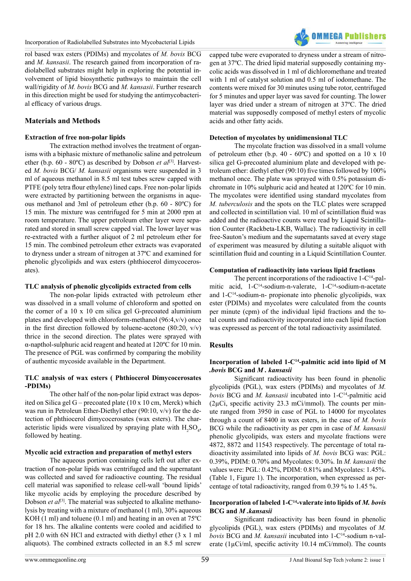

rol based wax esters (PDIMs) and mycolates of *M. bovis* BCG and *M. kansasii*. The research gained from incorporation of radiolabelled substrates might help in exploring the potential involvement of lipid biosynthetic pathways to maintain the cell wall/rigidity of *M. bovis* BCG and *M. kansasii*. Further research in this direction might be used for studying the antimycobacterial efficacy of various drugs.

# **Materials and Methods**

## **Extraction of free non-polar lipids**

The extraction method involves the treatment of organisms with a biphasic mixture of methanolic saline and petroleum ether (b.p. 60 - 80°C) as described by Dobson *et al*<sup>[3]</sup>. Harvested *M. bovis* BCG/ *M. kansasii* organisms were suspended in 3 ml of aqueous methanol in 8.5 ml test tubes screw capped with PTFE (poly tetra flour ethylene) lined caps. Free non-polar lipids were extracted by partitioning between the organisms in aqueous methanol and 3ml of petroleum ether (b.p. 60 - 80ºC) for 15 min. The mixture was centrifuged for 5 min at 2000 rpm at room temperature. The upper petroleum ether layer were separated and stored in small screw capped vial. The lower layer was re-extracted with a further aliquot of 2 ml petroleum ether for 15 min. The combined petroleum ether extracts was evaporated to dryness under a stream of nitrogen at 37ºC and examined for phenolic glycolipids and wax esters (phthiocerol dimycocerosates).

## **TLC analysis of phenolic glycolipids extracted from cells**

The non-polar lipids extracted with petroleum ether was dissolved in a small volume of chloroform and spotted on the corner of a 10 x 10 cm silica gel G-precoated aluminium plates and developed with chloroform-methanol (96:4,v/v) once in the first direction followed by toluene-acetone  $(80:20, v/v)$ thrice in the second direction. The plates were sprayed with α-napthol-sulphuric acid reagent and heated at 120ºC for 10 min. The presence of PGL was confirmed by comparing the mobility of authentic mycoside available in the Department.

## **TLC analysis of wax esters ( Phthiocerol Dimycocerosates -PDIMs)**

The other half of the non-polar lipid extract was deposited on Silica gel G – precoated plate (10 x 10 cm, Merck) which was run in Petroleun Ether-Diethyl ether (90:10, v/v) for the detection of phthiocerol dimycocerosates (wax esters). The characteristic lipids were visualized by spraying plate with  $H_2SO_4$ , followed by heating.

## **Mycolic acid extraction and preparation of methyl esters**

The aqueous portion containing cells left out after extraction of non-polar lipids was centrifuged and the supernatant was collected and saved for radioactive counting. The residual cell material was saponified to release cell-wall 'bound lipids' like mycolic acids by employing the procedure described by Dobson *et al*<sup>[3]</sup>. The material was subjected to alkaline methanolysis by treating with a mixture of methanol (1 ml), 30% aqueous KOH (1 ml) and toluene (0.1 ml) and heating in an oven at 75ºC for 18 hrs. The alkaline contents were cooled and acidified to pH 2.0 with 6N HCl and extracted with diethyl ether (3 x 1 ml aliquots). The combined extracts collected in an 8.5 ml screw

capped tube were evaporated to dryness under a stream of nitrogen at 37ºC. The dried lipid material supposedly containing mycolic acids was dissolved in 1 ml of dichloromethane and treated with 1 ml of catalyst solution and 0.5 ml of iodomethane. The contents were mixed for 30 minutes using tube rotor, centrifuged for 5 minutes and upper layer was saved for counting. The lower layer was dried under a stream of nitrogen at 37ºC. The dried material was supposedly composed of methyl esters of mycolic acids and other fatty acids.

## **Detection of mycolates by unidimensional TLC**

The mycolate fraction was dissolved in a small volume of petroleum ether (b.p. 40 -  $60^{\circ}$ C) and spotted on a 10 x 10 silica gel G-precoated aluminium plate and developed with petroleum ether: diethyl ether (90:10) five times followed by 100% methanol once. The plate was sprayed with 0.5% potassium dichromate in 10% sulphuric acid and heated at 120ºC for 10 min. The mycolates were identified using standard mycolates from *M. tuberculosis* and the spots on the TLC plates were scrapped and collected in scintillation vial. 10 ml of scintillation fluid was added and the radioactive counts were read by Liquid Scintillation Counter (Rackbeta-LKB, Wallac). The radioactivity in cell free-Sauton's medium and the supernatants saved at every stage of experiment was measured by diluting a suitable aliquot with scintillation fluid and counting in a Liquid Scintillation Counter.

## **Computation of radioactivity into various lipid fractions**

The percent incorporations of the radioactive  $1-C^{14}$ -palmitic acid, 1-C<sup>14</sup>-sodium-n-valerate, 1-C<sup>14</sup>-sodium-n-acetate and  $1-C^{14}$ -sodium-n- propionate into phenolic glycolipids, wax ester (PDIMs) and mycolates were calculated from the counts per minute (cpm) of the individual lipid fractions and the total counts and radioactivity incorporated into each lipid fraction was expressed as percent of the total radioactivity assimilated.

## **Results**

## **Incorporation of labeled 1-C14-palmitic acid into lipid of M** *.bovis* **BCG and** *M . kansasii*

Significant radioactivity has been found in phenolic glycolipids (PGL), wax esters (PDIMs) and mycolates of *M. bovis* BCG and *M. kansasii* incubated into 1-C14-palmitic acid ( $2\mu$ Ci, specific activity 23.3 mCi/mmol). The counts per minute ranged from 3950 in case of PGL to 14000 for mycolates through a count of 8400 in wax esters, in the case of *M. bovis* BCG while the radioactivity as per cpm in case of *M. kansasii*  phenolic glycolipids, wax esters and mycolate fractions were 4872, 8872 and 11543 respectively. The percentage of total radioactivity assimilated into lipids of *M. bovis* BCG was: PGL: 0.39%, PDIM: 0.70% and Mycolates: 0.30%. In *M. kansasii* the values were: PGL: 0.42%, PDIM: 0.81% and Mycolates: 1.45%. (Table 1, Figure 1). The incorporation, when expressed as percentage of total radioactivity, ranged from 0.39 % to 1.45 %.

## **Incorporation of labeled 1-C14-valerate into lipids of** *M. bovis* **BCG and** *M .kansasii*

Significant radioactivity has been found in phenolic glycolipids (PGL), wax esters (PDIMs) and mycolates of *M. bovis* BCG and *M. kansasii* incubated into 1-C14-sodium n-valerate  $(1\mu\text{Ci/ml}, \text{specific activity } 10.14 \text{ mCi/mmol})$ . The counts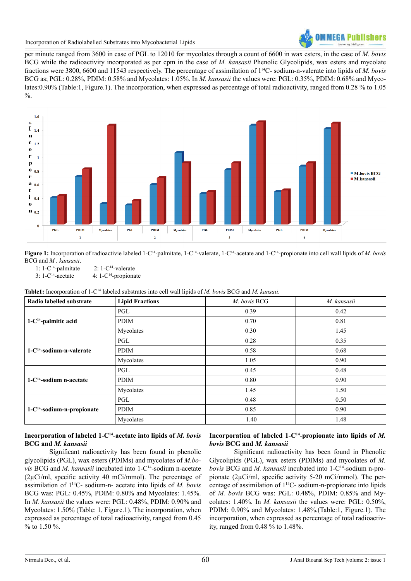

Incorporation of Radiolabelled Substrates into Mycobacterial Lipids

per minute ranged from 3600 in case of PGL to 12010 for mycolates through a count of 6600 in wax esters, in the case of *M. bovis* BCG while the radioactivity incorporated as per cpm in the case of *M. kansasii* Phenolic Glycolipids, wax esters and mycolate fractions were 3800, 6600 and 11543 respectively. The percentage of assimilation of 114C- sodium-n-valerate into lipids of *M. bovis* BCG as; PGL: 0.28%, PDIM: 0.58% and Mycolates: 1.05%. In *M. kansasii* the values were: PGL: 0.35%, PDIM: 0.68% and Mycolates:0.90% (Table:1, Figure.1). The incorporation, when expressed as percentage of total radioactivity, ranged from 0.28 % to 1.05  $\frac{0}{0}$ .



Figure 1: Incorporation of radioactivie labeled 1-C<sup>14</sup>-palmitate, 1-C<sup>14</sup>-valerate, 1-C<sup>14</sup>-acetate and 1-C<sup>14</sup>-propionate into cell wall lipids of *M. bovis* BCG and *M . kansasii*.

1:  $1-C^{14}$ -palmitate 2:  $1-C^{14}$ -valerate<br>3:  $1-C^{14}$ -acetate 4:  $1-C^{14}$ -propiona

4:  $1-C^{14}$ -propionate

**Table1:** Incorporation of 1-C14 labeled substrates into cell wall lipids of *M. bovis* BCG and *M. kansaii*.

| Radio labelled substrate      | <b>Lipid Fractions</b> | M. bovis BCG | M. kansasii |
|-------------------------------|------------------------|--------------|-------------|
| $1-C^{14}$ -palmitic acid     | PGL                    | 0.39         | 0.42        |
|                               | PDIM                   | 0.70         | 0.81        |
|                               | Mycolates              | 0.30         | 1.45        |
| $1-C^{14}$ -sodium-n-valerate | PGL                    | 0.28         | 0.35        |
|                               | <b>PDIM</b>            | 0.58         | 0.68        |
|                               | Mycolates              | 1.05         | 0.90        |
| $1-C^{14}$ -sodium n-acetate  | PGL                    | 0.45         | 0.48        |
|                               | PDIM                   | 0.80         | 0.90        |
|                               | Mycolates              | 1.45         | 1.50        |
| $1-C14$ -sodium-n-propionate  | PGL                    | 0.48         | 0.50        |
|                               | <b>PDIM</b>            | 0.85         | 0.90        |
|                               | Mycolates              | 1.40         | 1.48        |

## **Incorporation of labeled 1-C14-acetate into lipids of** *M. bovis* **BCG and** *M. kansasii*

Significant radioactivity has been found in phenolic glycolipids (PGL), wax esters (PDIMs) and mycolates of *M.bovis* BCG and *M. kansasii* incubated into 1-C14-sodium n-acetate (2µCi/ml, specific activity 40 mCi/mmol). The percentage of assimilation of 114C- sodium-n- acetate into lipids of *M. bovis*  BCG was: PGL: 0.45%, PDIM: 0.80% and Mycolates: 1.45%. In *M. kansasii* the values were: PGL: 0.48%, PDIM: 0.90% and Mycolates: 1.50% (Table: 1, Figure.1). The incorporation, when expressed as percentage of total radioactivity, ranged from 0.45 % to 1.50 %.

# **Incorporation of labeled 1-C14-propionate into lipids of** *M. bovis* **BCG and** *M. kansasii*

Significant radioactivity has been found in Phenolic Glycolipids (PGL), wax esters (PDIMs) and mycolates of *M. bovis* BCG and *M. kansasii* incubated into 1-C14-sodium n-propionate (2µCi/ml, specific activity 5-20 mCi/mmol). The percentage of assimilation of 114C- sodium-n-propionate into lipids of *M. bovis* BCG was: PGL: 0.48%, PDIM: 0.85% and Mycolates: 1.40%. In *M. kansasii* the values were: PGL: 0.50%, PDIM: 0.90% and Mycolates: 1.48%.(Table:1, Figure.1). The incorporation, when expressed as percentage of total radioactivity, ranged from 0.48 % to 1.48%.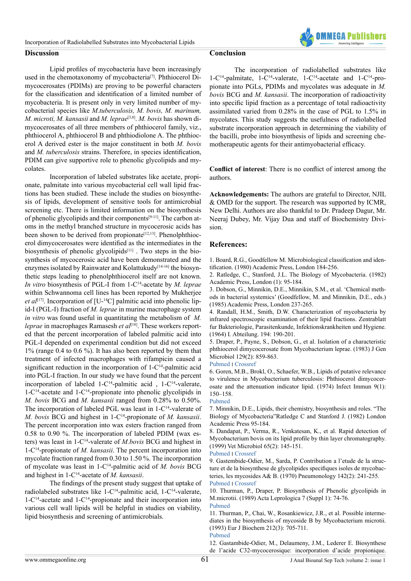

Lipid profiles of mycobacteria have been increasingly used in the chemotaxonomy of mycobacteria<sup>[7]</sup>. Phthiocerol Dimycocerosates (PDIMs) are proving to be powerful characters for the classification and identification of a limited number of mycobacteria. It is present only in very limited number of mycobacterial species like *M.tuberculosis, M. bovis, M. marinum, M. microti, M. kansasii* and *M. leprae*[\[3,8\]](#page-3-4). *M. bovis* has shown dimycocerosates of all three members of phthiocerol family, viz., phthiocerol A, phthiocerol B and phthiodiolone A. The phthiocerol A derived ester is the major constituent in both *M. bovis*  and *M. tuberculosis* strains. Therefore, in species identification, PDIM can give supportive role to phenolic glycolipids and mycolates.

Incorporation of labeled substrates like acetate, propionate, palmitate into various mycobacterial cell wall lipid fractions has been studied. These include the studies on biosynthesis of lipids, development of sensitive tools for antimicrobial screening etc. There is limited information on the biosynthesis of phenolic glycolipids and their components<sup>[9-11]</sup>. The carbon atoms in the methyl branched structure in mycocerosic acids has been shown to be derived from propionate<sup>[12,13]</sup>. Phenolphthiocerol dimycocerosates were identified as the intermediates in the biosynthesis of phenolic glycolipids<sup>[\[11\]](#page-3-8)</sup>. Two steps in the biosynthesis of mycocerosic acid have been demonstrated and the enzymes isolated by Rainwater and Kolattukudy<sup>[\[14-16\]](#page-4-0)</sup> the biosynthetic steps leading to phenolphthiocerol itself are not known. *In vitro* biosynthesis of PGL-I from 1-C14-acetate by *M. leprae* within Schwannoma cell lines has been reported by Mukherjee *et al*<sup>[\[17\]](#page-4-1)</sup>. Incorporation of  $[U^{-14}C]$  palmitic acid into phenolic lipid-I (PGL-I) fraction of *M. leprae* in murine macrophage system *in vitro* was found useful in quantitating the metabolism of *M. leprae* in macrophages Ramasesh *et al*<sup>[\[18\]](#page-4-2)</sup>. These workers reported that the percent incorporation of labeled palmitic acid into PGL-I depended on experimental condition but did not exceed 1% (range 0.4 to 0.6 %). It has also been reported by them that treatment of infected macrophages with rifampicin caused a significant reduction in the incorporation of  $1-C<sup>14</sup>$ -palmitic acid into PGL-I fraction. In our study we have found that the percent incorporation of labeled  $1-C^{14}$ -palmitic acid,  $1-C^{14}$ -valerate,  $1-C^{14}$ -acetate and  $1-C^{14}$ -propionate into phenolic glycolipids in *M. bovis* BCG and *M. kansasii* ranged from 0.28% to 0.50%. The incorporation of labeled PGL was least in 1-C<sup>14</sup>-valerate of *M. bovis* BCG and highest in 1-C14-propionate of *M. kansasii*. The percent incorporation into wax esters fraction ranged from 0.58 to 0.90 %. The incorporation of labeled PDIM (wax esters) was least in 1-C14-valerate of *M.bovis* BCG and highest in 1-C14-propionate of *M. kansasii*. The percent incorporation into mycolate fraction ranged from 0.30 to 1.50 %. The incorporation of mycolate was least in 1-C14-palmitic acid of *M. bovis* BCG and highest in 1-C14-acetate of *M. kansasii*.

The findings of the present study suggest that uptake of radiolabeled substrates like 1-C14-palmitic acid, 1-C14-valerate, 1-C14-acetate and 1-C14-propionate and their incorporation into various cell wall lipids will be helpful in studies on viability, lipid biosynthesis and screening of antimicrobials.

## **Conclusion**

The incorporation of radiolabelled substrates like 1-C14-palmitate, 1-C14-valerate, 1-C14-acetate and 1-C14-propionate into PGLs, PDIMs and mycolates was adequate in *M. bovis* BCG and *M. kansasii*. The incorporation of radioactivity into specific lipid fraction as a percentage of total radioactivity assimilated varied from 0.28% in the case of PGL to 1.5% in mycolates. This study suggests the usefulness of radiolabelled substrate incorporation approach in determining the viability of the bacilli, probe into biosynthesis of lipids and screening chemotherapeutic agents for their antimyobacterial efficacy.

**Conflict of interest**: There is no conflict of interest among the authors.

**Acknowledgements:** The authors are grateful to Director, NJIL & OMD for the support. The research was supported by ICMR, New Delhi. Authors are also thankful to Dr. Pradeep Dagur, Mr. Neeraj Dubey, Mr. Vijay Dua and staff of Biochemistry Division.

## **References:**

<span id="page-3-0"></span>1. [Board, R.G., Goodfellow M. Microbiological classification and iden](https://www.cabdirect.org/cabdirect/abstract/19812702903)[tification. \(1980\) Academic Press, London 184-256.](https://www.cabdirect.org/cabdirect/abstract/19812702903)

2. Ratledge, C., Stanford, J.L. The Biology of Mycobacteria. (1982) Academic Press, London (1): 95-184.

<span id="page-3-4"></span>3. Dobson, G., Minnikin, D.E., Minnikin, S.M., et al. 'Chemical methods in bacterial systemics' (Goodfellow, M. and Minnikin, D.E., eds.) (1985) Academic Press, London 237-265.

<span id="page-3-1"></span>4. Randall, H.M., Smith, D.W. Characterization of mycobacteria by infrared spectroscopic examination of their lipid fractions. Zentrablatt fur Bakteriologie, Parasitenkunde, Infektionskrankheiten und Hygiene. (1964) I. Abteilung. 194: 190-201.

<span id="page-3-2"></span>5. Draper, P., Payne, S., Dobson, G., et al. Isolation of a characteristic phthiocerol dimycocerosate from Mycobacterium leprae. (1983) J Gen Microbiol 129(2): 859-863.

[Pubmed](https://www.ncbi.nlm.nih.gov/pubmed/?term=6409988) ׀ [Crossref](http://mic.microbiologyresearch.org/content/journal/micro/10.1099/00221287-129-3-859)

<span id="page-3-3"></span>6. Goren, M.B., Brokl, O., Schaefer, W.B., Lipids of putative relevance to virulence in Mycobacterium tuberculosis: Phthiocerol dimycocerosate and the attenuation indicator lipid. (1974) Infect Immun 9(1): 150–158.

#### [Pubmed](https://www.ncbi.nlm.nih.gov/pubmed/?term=4271720)

<span id="page-3-5"></span>7. Minnikin, D.E., Lipids, their chemistry, biosynthesis and roles. "The Biology of Mycobacteria"Ratledge C and Stanford J. (1982) London Academic Press 95-184.

8. Dandapat, P., Verma, R., Venkatesan, K., et al. Rapid detection of Mycobacterium bovis on its lipid profile by thin layer chromatography. (1999) Vet Microbiol 65(2): 145-151.

#### [Pubmed](https://www.ncbi.nlm.nih.gov/pubmed/10078598) ׀ [Crossref](http://www.sciencedirect.com/science/article/pii/S037811359800279X)

<span id="page-3-6"></span>9. Gastembide-Odier, M., Sarda, P. Contribution a l'etude de la structure et de la biosynthese de glycolipides specifiques isoles de mycobacteries, les mycosides A& B. (1970) Pneumonology 142(2): 241-255. [Pubmed](https://www.ncbi.nlm.nih.gov/pubmed/5497308) ׀ [Crossref](http://link.springer.com/article/10.1007%2FBF02095222)

10. Thurman, P., Draper, P. Biosynthesis of Phenolic glycolipids in M.microtii. (1989) Acta Leprologica 7 (Suppl 1): 74-76. [Pubmed](https://www.ncbi.nlm.nih.gov/pubmed/?term=2504010)

<span id="page-3-8"></span>11. Thurman, P., Chai, W., Rosankiewicz, J.R., et al. Possible intermediates in the biosynthesis of mycoside B by Mycobacterium microtii. (1993) Eur J Biochem 212(3): 705-711. [Pubmed](https://www.ncbi.nlm.nih.gov/pubmed/8462544) 

<span id="page-3-7"></span>12. Gastambide-Odier, M., Delaumeny, J.M., Lederer E. Biosynthese de l'acide C32-mycocerosique: incorporation d'acide propionique.